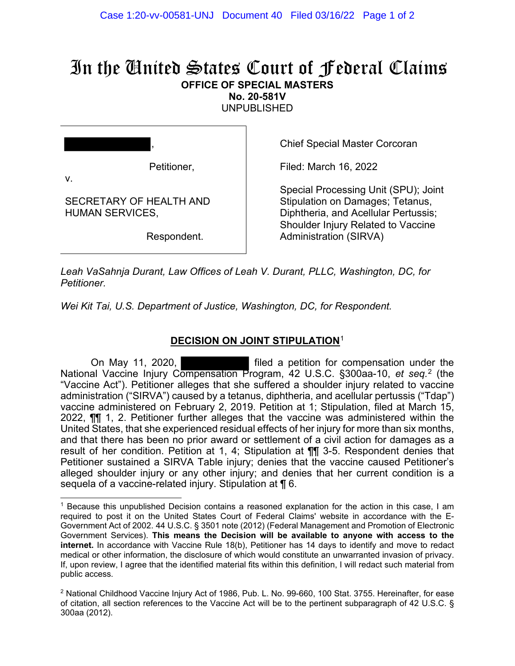## In the United States Court of Federal Claims **OFFICE OF SPECIAL MASTERS**

**No. 20-581V** 

UNPUBLISHED

|                                                   | ,           |
|---------------------------------------------------|-------------|
| v.                                                | Petitioner, |
| SECRETARY OF HEALTH AND<br><b>HUMAN SERVICES,</b> |             |
|                                                   | Respondent. |

Chief Special Master Corcoran

Filed: March 16, 2022

Special Processing Unit (SPU); Joint Stipulation on Damages; Tetanus, Diphtheria, and Acellular Pertussis; Shoulder Injury Related to Vaccine Administration (SIRVA)

*Leah VaSahnja Durant, Law Offices of Leah V. Durant, PLLC, Washington, DC, for Petitioner.*

*Wei Kit Tai, U.S. Department of Justice, Washington, DC, for Respondent.*

## **DECISION ON JOINT STIPULATION**[1](#page-1-0)

On May 11, 2020, **Filled** a petition for compensation under the National Vaccine Injury Compensation Program, 42 U.S.C. §300aa-10, *et seq.* [2](#page-1-0) (the "Vaccine Act"). Petitioner alleges that she suffered a shoulder injury related to vaccine administration ("SIRVA") caused by a tetanus, diphtheria, and acellular pertussis ("Tdap") vaccine administered on February 2, 2019. Petition at 1; Stipulation, filed at March 15, 2022, ¶¶ 1, 2. Petitioner further alleges that the vaccine was administered within the United States, that she experienced residual effects of her injury for more than six months, and that there has been no prior award or settlement of a civil action for damages as a result of her condition. Petition at 1, 4; Stipulation at ¶¶ 3-5. Respondent denies that Petitioner sustained a SIRVA Table injury; denies that the vaccine caused Petitioner's alleged shoulder injury or any other injury; and denies that her current condition is a sequela of a vaccine-related injury. Stipulation at ¶ 6.

<sup>1</sup> Because this unpublished Decision contains a reasoned explanation for the action in this case, I am required to post it on the United States Court of Federal Claims' website in accordance with the E-Government Act of 2002. 44 U.S.C. § 3501 note (2012) (Federal Management and Promotion of Electronic Government Services). **This means the Decision will be available to anyone with access to the internet.** In accordance with Vaccine Rule 18(b), Petitioner has 14 days to identify and move to redact medical or other information, the disclosure of which would constitute an unwarranted invasion of privacy. If, upon review, I agree that the identified material fits within this definition, I will redact such material from public access.

 $2$  National Childhood Vaccine Injury Act of 1986, Pub. L. No. 99-660, 100 Stat. 3755. Hereinafter, for ease of citation, all section references to the Vaccine Act will be to the pertinent subparagraph of 42 U.S.C. § 300aa (2012).